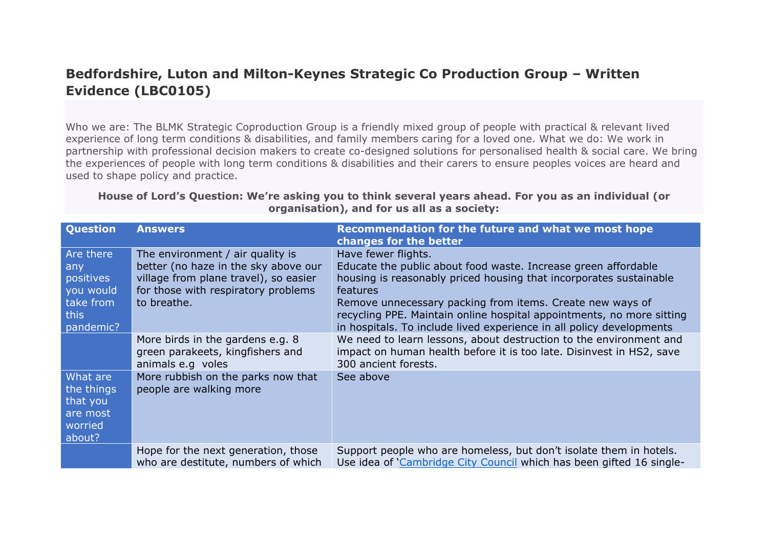## **Bedfordshire, Luton and Milton-Keynes Strategic Co Production Group – Written Evidence (LBC0105)**

Who we are: The BLMK Strategic Coproduction Group is a friendly mixed group of people with practical & relevant lived experience of long term conditions & disabilities, and family members caring for a loved one. What we do: We work in partnership with professional decision makers to create co-designed solutions for personalised health & social care. We bring the experiences of people with long term conditions & disabilities and their carers to ensure peoples voices are heard and used to shape policy and practice.

## House of Lord's Question: We're asking you to think several years ahead. For you as an individual (or **organisation), and for us all as a society:**

| <b>Question</b>                                                              | <b>Answers</b>                                                                                                                                                          | Recommendation for the future and what we most hope<br>changes for the better                                                                                                                                                                                                                                                                                                         |
|------------------------------------------------------------------------------|-------------------------------------------------------------------------------------------------------------------------------------------------------------------------|---------------------------------------------------------------------------------------------------------------------------------------------------------------------------------------------------------------------------------------------------------------------------------------------------------------------------------------------------------------------------------------|
| Are there<br>any<br>positives<br>you would<br>take from<br>this<br>pandemic? | The environment / air quality is<br>better (no haze in the sky above our<br>village from plane travel), so easier<br>for those with respiratory problems<br>to breathe. | Have fewer flights.<br>Educate the public about food waste. Increase green affordable<br>housing is reasonably priced housing that incorporates sustainable<br>features<br>Remove unnecessary packing from items. Create new ways of<br>recycling PPE. Maintain online hospital appointments, no more sitting<br>in hospitals. To include lived experience in all policy developments |
|                                                                              | More birds in the gardens e.g. 8<br>green parakeets, kingfishers and<br>animals e.g voles                                                                               | We need to learn lessons, about destruction to the environment and<br>impact on human health before it is too late. Disinvest in HS2, save<br>300 ancient forests.                                                                                                                                                                                                                    |
| What are<br>the things<br>that you<br>are most<br>worried<br>about?          | More rubbish on the parks now that<br>people are walking more                                                                                                           | See above                                                                                                                                                                                                                                                                                                                                                                             |
|                                                                              | Hope for the next generation, those<br>who are destitute, numbers of which                                                                                              | Support people who are homeless, but don't isolate them in hotels.<br>Use idea of 'Cambridge City Council which has been gifted 16 single-                                                                                                                                                                                                                                            |